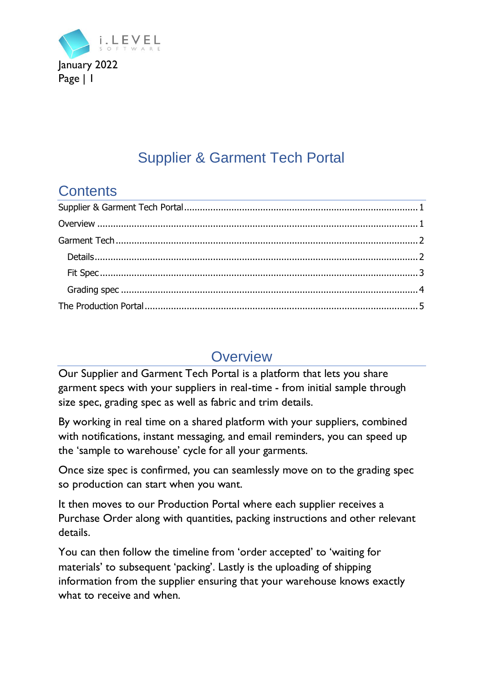

# Supplier & Garment Tech Portal

## <span id="page-0-0"></span>**Contents**

# **Overview**

<span id="page-0-1"></span>Our Supplier and Garment Tech Portal is a platform that lets you share garment specs with your suppliers in real-time - from initial sample through size spec, grading spec as well as fabric and trim details.

By working in real time on a shared platform with your suppliers, combined with notifications, instant messaging, and email reminders, you can speed up the 'sample to warehouse' cycle for all your garments.

Once size spec is confirmed, you can seamlessly move on to the grading spec so production can start when you want.

It then moves to our Production Portal where each supplier receives a Purchase Order along with quantities, packing instructions and other relevant details.

You can then follow the timeline from 'order accepted' to 'waiting for materials' to subsequent 'packing'. Lastly is the uploading of shipping information from the supplier ensuring that your warehouse knows exactly what to receive and when.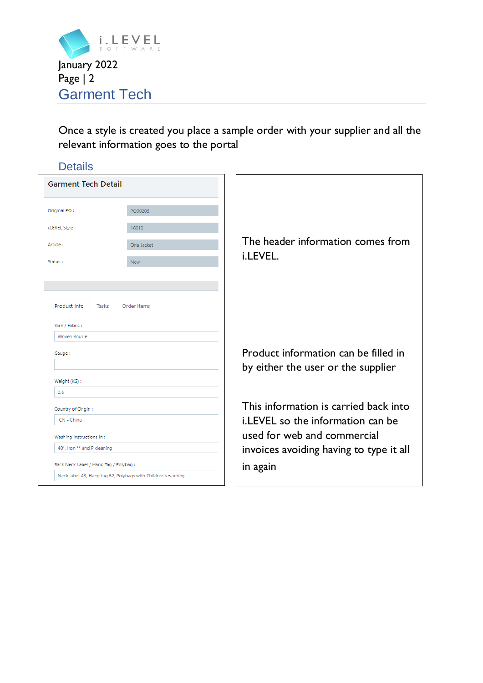

<span id="page-1-0"></span>Once a style is created you place a sample order with your supplier and all the relevant information goes to the portal

<span id="page-1-1"></span>

| <b>Details</b>                                               |             |                                                                            |
|--------------------------------------------------------------|-------------|----------------------------------------------------------------------------|
| <b>Garment Tech Detail</b>                                   |             |                                                                            |
| Original PO:                                                 | PO00203     |                                                                            |
| i.LEVEL Style:                                               | 16612       |                                                                            |
| Article:                                                     | Orla Jacket | The header information comes from                                          |
| Status:                                                      | <b>New</b>  | i.LEVEL.                                                                   |
|                                                              |             |                                                                            |
| Product Info<br>Tasks<br>Yarn / Fabric:<br>Woven Boucle      | Order Items |                                                                            |
| Gauge:                                                       |             | Product information can be filled in<br>by either the user or the supplier |
| Weight (KG):                                                 |             |                                                                            |
| 0.6                                                          |             |                                                                            |
| Country of Origin:                                           |             | This information is carried back into                                      |
| CN - China                                                   |             | i.LEVEL so the information can be                                          |
| Washing Instructions In:                                     |             | used for web and commercial                                                |
| 40*, Iron ** and P cleaning                                  |             | invoices avoiding having to type it all                                    |
| Back Neck Label / Hang Tag / Polybag :                       |             | in again                                                                   |
| Neck label A3, Hang tag B2, Polybags with Children's warning |             |                                                                            |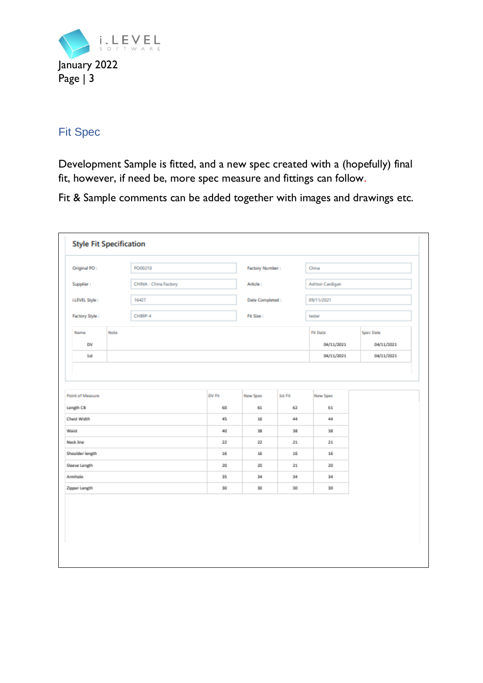

### <span id="page-2-0"></span>Fit Spec

Development Sample is fitted, and a new spec created with a (hopefully) final fit, however, if need be, more spec measure and fittings can follow.

Fit & Sample comments can be added together with images and drawings etc.

| Original PO:     | PO00210               |        | Factory Number:  |         | China           |            |
|------------------|-----------------------|--------|------------------|---------|-----------------|------------|
| Supplier:        | CHINA - China Factory |        | Article:         |         | Ashton Cardigan |            |
| i.LEVEL Style:   | 16427                 |        | Date Completed : |         | 09/11/2021      |            |
| Factory Style:   | <b>CH89P-4</b>        |        | Fit Size:        |         | tester          |            |
| Name             | Note                  |        |                  |         | <b>Fit Date</b> | Spec Date  |
| DV               |                       |        |                  |         | 04/11/2021      | 04/11/2021 |
| 1st              |                       |        |                  |         | 04/11/2021      | 04/11/2021 |
| Chest Width      |                       | 45     | 16               | 44      | 44              |            |
| Point of Measure |                       | DV Fit | New Spec         | 1st Fit | New Spec        |            |
|                  |                       |        |                  |         |                 |            |
| Waist            |                       | 40     | 38               | 38      | 38              |            |
| Neck line        |                       | 22     | $^{22}$          | 21      | 21              |            |
| Shoulder length  |                       | 16     | 16               | 16      | 16              |            |
| Sleeve Length    |                       | 20     | 20               | $21\,$  | 20              |            |
|                  |                       | 35     | 34               | 34      | 34              |            |
| Armhole          |                       | 30     | 30               | 30      | 30              |            |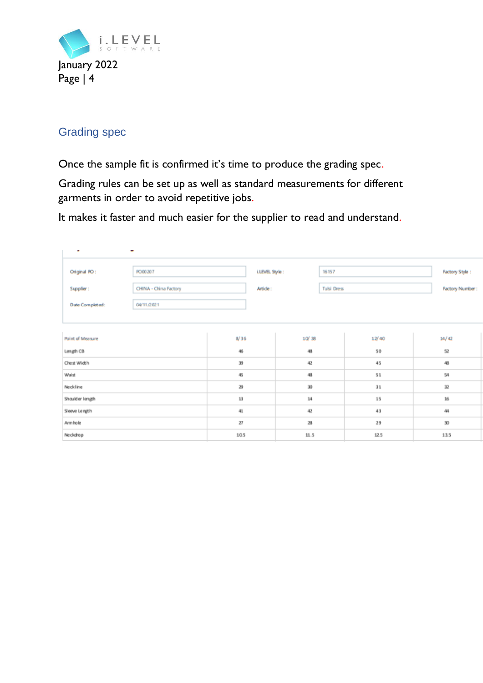

### <span id="page-3-0"></span>Grading spec

Once the sample fit is confirmed it's time to produce the grading spec.

Grading rules can be set up as well as standard measurements for different garments in order to avoid repetitive jobs.

It makes it faster and much easier for the supplier to read and understand.

| ٠                | ۰                    |          |                        |       |                 |
|------------------|----------------------|----------|------------------------|-------|-----------------|
| Original PO:     | PO00207              |          | LLEVEL Style:<br>16157 |       | Factory Style:  |
| Supplier:        | CHNA - China Factory | Article: | Tulsi Dress            |       | Factory Number: |
| Date Completed:  | 04/11/2021           |          |                        |       |                 |
|                  |                      |          |                        |       |                 |
| Point of Measure |                      | 8/36     | 10/38                  | 12/40 | 14/42           |
| Length CB        |                      | 46       | 48                     | 50    | 52              |
| Chest Width      |                      | 39       | 42                     | 45    | 48              |
| Walst            |                      | 45       | 48                     | 51    | 54              |
| Neckline         |                      | 29       | 30                     | 31    | 32              |
| Shoulder length  |                      | 13       | 14                     | 15    | $16\,$          |
| Sleeve Length    |                      | 41       | 42                     | 43    | 44              |
| Armhole          |                      | 27       | 28                     | 29    | 30              |
| Neckdrop         |                      | 10.5     | 11.5                   | 12.5  | 13.5            |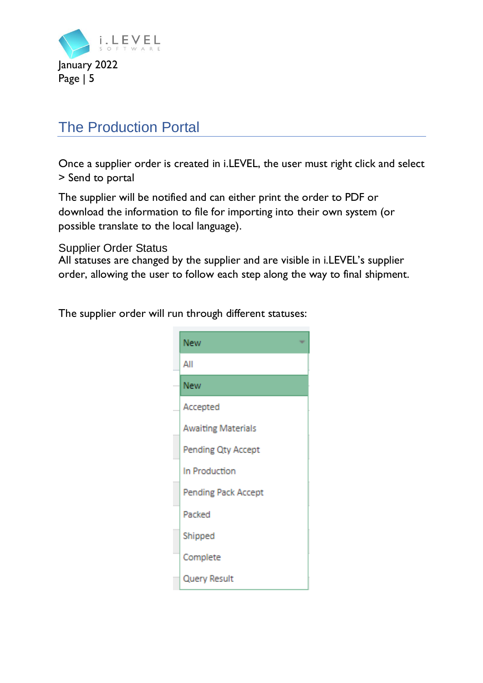

## <span id="page-4-0"></span>The Production Portal

Once a supplier order is created in i.LEVEL, the user must right click and select > Send to portal

The supplier will be notified and can either print the order to PDF or download the information to file for importing into their own system (or possible translate to the local language).

#### Supplier Order Status

All statuses are changed by the supplier and are visible in i.LEVEL's supplier order, allowing the user to follow each step along the way to final shipment.

The supplier order will run through different statuses:

| New                       |
|---------------------------|
| All                       |
| New                       |
| Accepted                  |
| <b>Awaiting Materials</b> |
| Pending Qty Accept        |
| In Production             |
| Pending Pack Accept       |
| Packed                    |
| Shipped                   |
| Complete                  |
| Query Result              |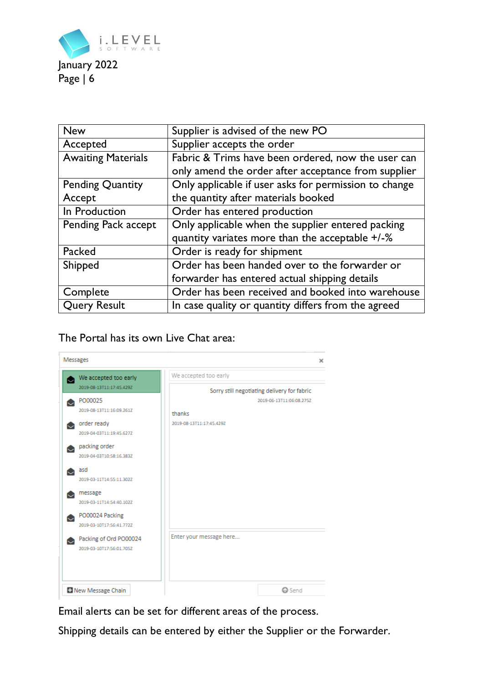

| <b>New</b>                | Supplier is advised of the new PO                     |
|---------------------------|-------------------------------------------------------|
| Accepted                  | Supplier accepts the order                            |
| <b>Awaiting Materials</b> | Fabric & Trims have been ordered, now the user can    |
|                           | only amend the order after acceptance from supplier   |
| <b>Pending Quantity</b>   | Only applicable if user asks for permission to change |
| Accept                    | the quantity after materials booked                   |
| In Production             | Order has entered production                          |
| Pending Pack accept       | Only applicable when the supplier entered packing     |
|                           | quantity variates more than the acceptable +/-%       |
| Packed                    | Order is ready for shipment                           |
| Shipped                   | Order has been handed over to the forwarder or        |
|                           | forwarder has entered actual shipping details         |
| Complete                  | Order has been received and booked into warehouse     |
| <b>Query Result</b>       | In case quality or quantity differs from the agreed   |

The Portal has its own Live Chat area:

| Messages                    | ×                                           |
|-----------------------------|---------------------------------------------|
| We accepted too early       | We accepted too early                       |
| 2019-08-13T11:17:45.429Z    | Sorry still negotiating delivery for fabric |
| PO00025                     | 2019-06-13T11:06:08.275Z                    |
| 2019-08-13T11:16:09.2617    | thanks                                      |
| order ready<br>r.           | 2019-08-13T11:17:45.429Z                    |
| 2019-04-03T11:19:45.6272    |                                             |
| packing order               |                                             |
| 2019-04-03T10:58:16.383Z    |                                             |
| asd                         |                                             |
| 2019-03-11T14:55:11.302Z    |                                             |
| message                     |                                             |
| 2019-03-11T14:54:40.102Z    |                                             |
| PO00024 Packing             |                                             |
| 2019-03-10T17:56:41.772Z    |                                             |
| Packing of Ord PO00024<br>Q | Enter your message here                     |
| 2019-03-10T17:56:01.705Z    |                                             |
|                             |                                             |
|                             |                                             |
|                             |                                             |
| New Message Chain           | <b>O</b> Send                               |

Email alerts can be set for different areas of the process.

Shipping details can be entered by either the Supplier or the Forwarder.